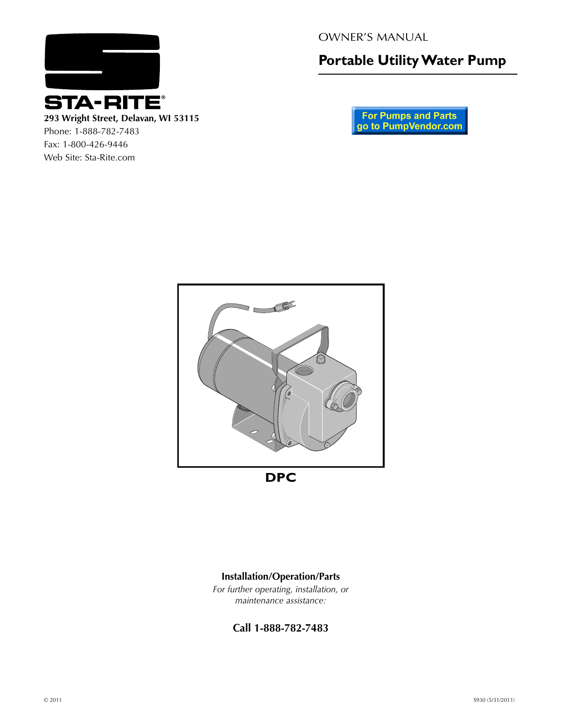

**293 Wright Street, Delavan, WI 53115** Phone: 1-888-782-7483

Fax: 1-800-426-9446 Web Site: Sta-Rite.com OWNER'S MANUAL

**Portable Utility Water Pump**

**For Pumps and Parts**<br>go to PumpVendor.com





*For further operating, installation, or maintenance assistance:*

**Call 1-888-782-7483**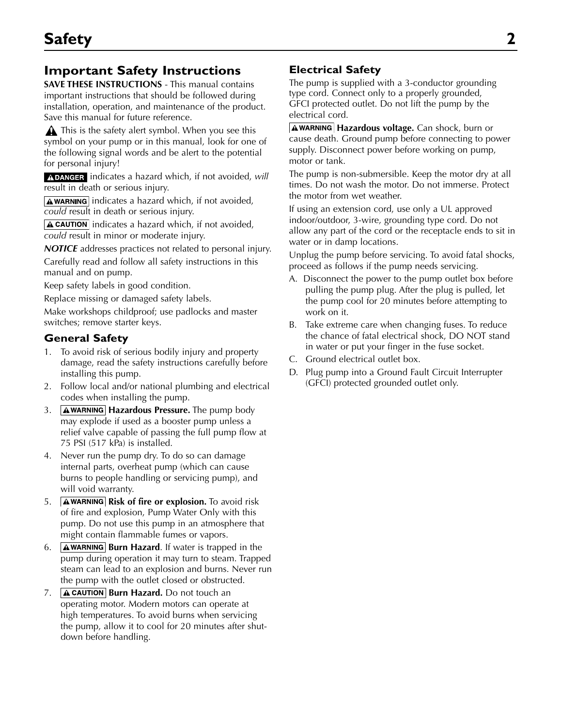# **Important Safety Instructions**

**SAVE THESE INSTRUCTIONS** - This manual contains important instructions that should be followed during installation, operation, and maintenance of the product. Save this manual for future reference.

This is the safety alert symbol. When you see this symbol on your pump or in this manual, look for one of the following signal words and be alert to the potential for personal injury!

**A DANGER** indicates a hazard which, if not avoided, will result in death or serious injury.

 $\sqrt{\text{A}$  WARNING indicates a hazard which, if not avoided, *could* result in death or serious injury.

 $\boxed{\text{A}$  CAUTION indicates a hazard which, if not avoided, *could* result in minor or moderate injury.

*NOTICE* addresses practices not related to personal injury. Carefully read and follow all safety instructions in this manual and on pump.

Keep safety labels in good condition.

Replace missing or damaged safety labels.

Make workshops childproof; use padlocks and master switches; remove starter keys.

## **General Safety**

- 1. To avoid risk of serious bodily injury and property damage, read the safety instructions carefully before installing this pump.
- 2. Follow local and/or national plumbing and electrical codes when installing the pump.
- 3. **AWARNING Hazardous Pressure.** The pump body may explode if used as a booster pump unless a relief valve capable of passing the full pump flow at 75 PSI (517 kPa) is installed.
- 4. Never run the pump dry. To do so can damage internal parts, overheat pump (which can cause burns to people handling or servicing pump), and will void warranty.
- 5. **AWARNING Risk of fire or explosion.** To avoid risk of fire and explosion, Pump Water Only with this pump. Do not use this pump in an atmosphere that might contain flammable fumes or vapors.
- 6. **AWARNING Burn Hazard**. If water is trapped in the pump during operation it may turn to steam. Trapped steam can lead to an explosion and burns. Never run the pump with the outlet closed or obstructed.
- 7. **A CAUTION Burn Hazard.** Do not touch an operating motor. Modern motors can operate at high temperatures. To avoid burns when servicing the pump, allow it to cool for 20 minutes after shutdown before handling.

## **Electrical Safety**

The pump is supplied with a 3-conductor grounding type cord. Connect only to a properly grounded, GFCI protected outlet. Do not lift the pump by the electrical cord.

**A WARNING Hazardous voltage.** Can shock, burn or cause death. Ground pump before connecting to power supply. Disconnect power before working on pump, motor or tank.

The pump is non-submersible. Keep the motor dry at all times. Do not wash the motor. Do not immerse. Protect the motor from wet weather.

If using an extension cord, use only a UL approved indoor/outdoor, 3-wire, grounding type cord. Do not allow any part of the cord or the receptacle ends to sit in water or in damp locations.

Unplug the pump before servicing. To avoid fatal shocks, proceed as follows if the pump needs servicing.

- A. Disconnect the power to the pump outlet box before pulling the pump plug. After the plug is pulled, let the pump cool for 20 minutes before attempting to work on it.
- B. Take extreme care when changing fuses. To reduce the chance of fatal electrical shock, DO NOT stand in water or put your finger in the fuse socket.
- C. Ground electrical outlet box.
- D. Plug pump into a Ground Fault Circuit Interrupter (GFCI) protected grounded outlet only.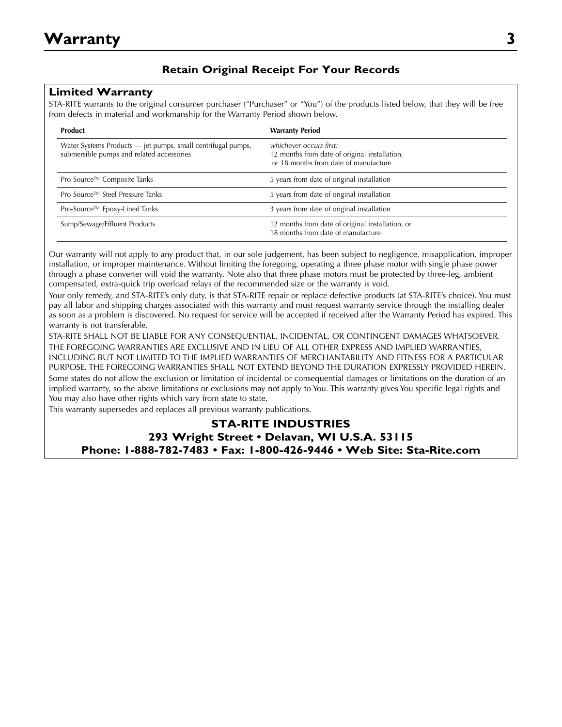## **Retain Original Receipt For Your Records**

#### **Limited Warranty**

STA-RITE warrants to the original consumer purchaser ("Purchaser" or "You") of the products listed below, that they will be free from defects in material and workmanship for the Warranty Period shown below.

| Product                                                                                                   | <b>Warranty Period</b>                                                                                            |  |
|-----------------------------------------------------------------------------------------------------------|-------------------------------------------------------------------------------------------------------------------|--|
| Water Systems Products - jet pumps, small centrifugal pumps,<br>submersible pumps and related accessories | whichever occurs first:<br>12 months from date of original installation,<br>or 18 months from date of manufacture |  |
| Pro-Source™ Composite Tanks                                                                               | 5 years from date of original installation                                                                        |  |
| Pro-Source™ Steel Pressure Tanks                                                                          | 5 years from date of original installation                                                                        |  |
| Pro-Source™ Epoxy-Lined Tanks                                                                             | 3 years from date of original installation                                                                        |  |
| Sump/Sewage/Effluent Products                                                                             | 12 months from date of original installation, or<br>18 months from date of manufacture                            |  |

Our warranty will not apply to any product that, in our sole judgement, has been subject to negligence, misapplication, improper installation, or improper maintenance. Without limiting the foregoing, operating a three phase motor with single phase power through a phase converter will void the warranty. Note also that three phase motors must be protected by three-leg, ambient compensated, extra-quick trip overload relays of the recommended size or the warranty is void.

Your only remedy, and STA-RITE's only duty, is that STA-RITE repair or replace defective products (at STA-RITE's choice). You must pay all labor and shipping charges associated with this warranty and must request warranty service through the installing dealer as soon as a problem is discovered. No request for service will be accepted if received after the Warranty Period has expired. This warranty is not transferable.

STA-RITE SHALL NOT BE LIABLE FOR ANY CONSEQUENTIAL, INCIDENTAL, OR CONTINGENT DAMAGES WHATSOEVER. THE FOREGOING WARRANTIES ARE EXCLUSIVE AND IN LIEU OF ALL OTHER EXPRESS AND IMPLIED WARRANTIES, INCLUDING BUT NOT LIMITED TO THE IMPLIED WARRANTIES OF MERCHANTABILITY AND FITNESS FOR A PARTICULAR PURPOSE. THE FOREGOING WARRANTIES SHALL NOT EXTEND BEYOND THE DURATION EXPRESSLY PROVIDED HEREIN. Some states do not allow the exclusion or limitation of incidental or consequential damages or limitations on the duration of an implied warranty, so the above limitations or exclusions may not apply to You. This warranty gives You specific legal rights and You may also have other rights which vary from state to state.

This warranty supersedes and replaces all previous warranty publications.

## **STA-RITE INDUSTRIES 293 Wright Street • Delavan, WI U.S.A. 53115 Phone: 1-888-782-7483 • Fax: 1-800-426-9446 • Web Site: Sta-Rite.com**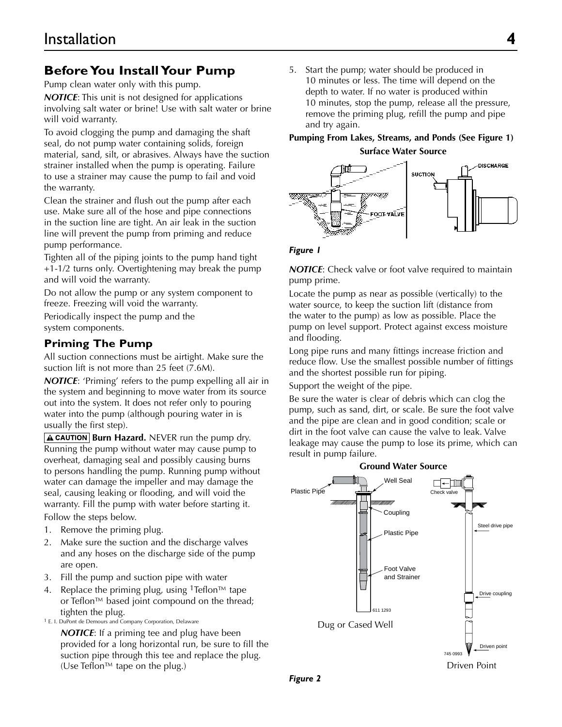# **Before You Install Your Pump**

Pump clean water only with this pump.

*NOTICE*: This unit is not designed for applications involving salt water or brine! Use with salt water or brine will void warranty.

To avoid clogging the pump and damaging the shaft seal, do not pump water containing solids, foreign material, sand, silt, or abrasives. Always have the suction strainer installed when the pump is operating. Failure to use a strainer may cause the pump to fail and void the warranty.

Clean the strainer and flush out the pump after each use. Make sure all of the hose and pipe connections in the suction line are tight. An air leak in the suction line will prevent the pump from priming and reduce pump performance.

Tighten all of the piping joints to the pump hand tight +1-1/2 turns only. Overtightening may break the pump and will void the warranty.

Do not allow the pump or any system component to freeze. Freezing will void the warranty.

Periodically inspect the pump and the system components.

# **Priming The Pump**

All suction connections must be airtight. Make sure the suction lift is not more than 25 feet (7.6M).

*NOTICE*: 'Priming' refers to the pump expelling all air in the system and beginning to move water from its source out into the system. It does not refer only to pouring water into the pump (although pouring water in is usually the first step).

**A CAUTION Burn Hazard.** NEVER run the pump dry. Running the pump without water may cause pump to overheat, damaging seal and possibly causing burns to persons handling the pump. Running pump without water can damage the impeller and may damage the seal, causing leaking or flooding, and will void the warranty. Fill the pump with water before starting it. Follow the steps below.

- 1. Remove the priming plug.
- 2. Make sure the suction and the discharge valves and any hoses on the discharge side of the pump are open.
- 3. Fill the pump and suction pipe with water
- 4. Replace the priming plug, using <sup>1</sup>Teflon<sup>™</sup> tape or Teflon™ based joint compound on the thread; tighten the plug.
- 1 E. I. DuPont de Demours and Company Corporation, Delaware

*NOTICE*: If a priming tee and plug have been provided for a long horizontal run, be sure to fill the suction pipe through this tee and replace the plug. (Use Teflon™ tape on the plug.)

5. Start the pump; water should be produced in 10 minutes or less. The time will depend on the depth to water. If no water is produced within 10 minutes, stop the pump, release all the pressure, remove the priming plug, refill the pump and pipe and try again.

#### **Pumping From Lakes, Streams, and Ponds (See Figure 1)**

**Surface Water Source**



#### *Figure 1*

**NOTICE:** Check valve or foot valve required to maintain pump prime.

Locate the pump as near as possible (vertically) to the water source, to keep the suction lift (distance from the water to the pump) as low as possible. Place the pump on level support. Protect against excess moisture and flooding.

Long pipe runs and many fittings increase friction and reduce flow. Use the smallest possible number of fittings and the shortest possible run for piping.

Support the weight of the pipe.

Be sure the water is clear of debris which can clog the pump, such as sand, dirt, or scale. Be sure the foot valve and the pipe are clean and in good condition; scale or dirt in the foot valve can cause the valve to leak. Valve leakage may cause the pump to lose its prime, which can result in pump failure.



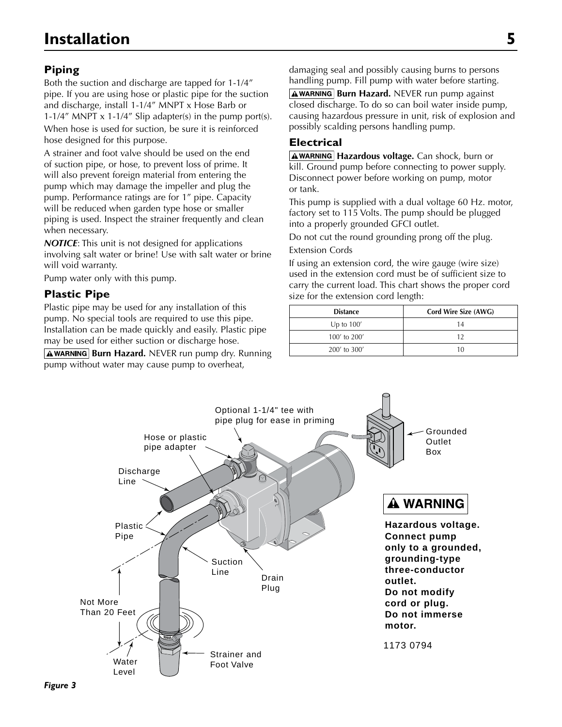# **Piping**

Both the suction and discharge are tapped for 1-1/4" pipe. If you are using hose or plastic pipe for the suction and discharge, install 1-1/4" MNPT x Hose Barb or 1-1/4" MNPT  $\times$  1-1/4" Slip adapter(s) in the pump port(s). When hose is used for suction, be sure it is reinforced hose designed for this purpose.

A strainer and foot valve should be used on the end of suction pipe, or hose, to prevent loss of prime. It will also prevent foreign material from entering the pump which may damage the impeller and plug the pump. Performance ratings are for 1" pipe. Capacity will be reduced when garden type hose or smaller piping is used. Inspect the strainer frequently and clean when necessary.

*NOTICE*: This unit is not designed for applications involving salt water or brine! Use with salt water or brine will void warranty.

Pump water only with this pump.

## **Plastic Pipe**

Plastic pipe may be used for any installation of this pump. No special tools are required to use this pipe. Installation can be made quickly and easily. Plastic pipe may be used for either suction or discharge hose.

**AWARNING Burn Hazard.** NEVER run pump dry. Running pump without water may cause pump to overheat,

damaging seal and possibly causing burns to persons handling pump. Fill pump with water before starting.

**AWARNING Burn Hazard.** NEVER run pump against closed discharge. To do so can boil water inside pump, causing hazardous pressure in unit, risk of explosion and possibly scalding persons handling pump.

## **Electrical**

**AWARNING Hazardous voltage.** Can shock, burn or kill. Ground pump before connecting to power supply. Disconnect power before working on pump, motor or tank.

This pump is supplied with a dual voltage 60 Hz. motor, factory set to 115 Volts. The pump should be plugged into a properly grounded GFCI outlet.

Do not cut the round grounding prong off the plug. Extension Cords

If using an extension cord, the wire gauge (wire size) used in the extension cord must be of sufficient size to carry the current load. This chart shows the proper cord size for the extension cord length:

| <b>Distance</b> | Cord Wire Size (AWG) |
|-----------------|----------------------|
| Up to $100'$    | 14                   |
| 100' to 200'    | 19                   |
| 200' to 300'    | 10                   |

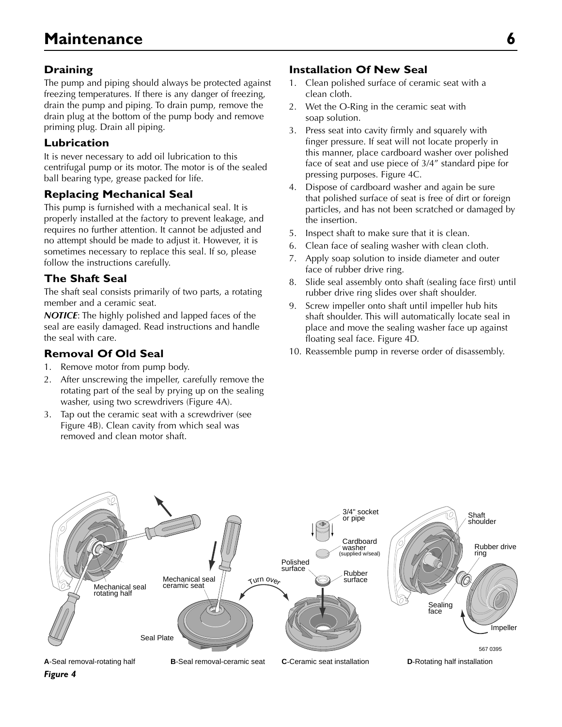## **Draining**

The pump and piping should always be protected against freezing temperatures. If there is any danger of freezing, drain the pump and piping. To drain pump, remove the drain plug at the bottom of the pump body and remove priming plug. Drain all piping.

### **Lubrication**

It is never necessary to add oil lubrication to this centrifugal pump or its motor. The motor is of the sealed ball bearing type, grease packed for life.

## **Replacing Mechanical Seal**

This pump is furnished with a mechanical seal. It is properly installed at the factory to prevent leakage, and requires no further attention. It cannot be adjusted and no attempt should be made to adjust it. However, it is sometimes necessary to replace this seal. If so, please follow the instructions carefully.

## **The Shaft Seal**

The shaft seal consists primarily of two parts, a rotating member and a ceramic seat.

*NOTICE*: The highly polished and lapped faces of the seal are easily damaged. Read instructions and handle the seal with care.

## **Removal Of Old Seal**

- 1. Remove motor from pump body.
- 2. After unscrewing the impeller, carefully remove the rotating part of the seal by prying up on the sealing washer, using two screwdrivers (Figure 4A).
- 3. Tap out the ceramic seat with a screwdriver (see Figure 4B). Clean cavity from which seal was removed and clean motor shaft.

#### **Installation Of New Seal**

- 1. Clean polished surface of ceramic seat with a clean cloth.
- 2. Wet the O-Ring in the ceramic seat with soap solution.
- 3. Press seat into cavity firmly and squarely with finger pressure. If seat will not locate properly in this manner, place cardboard washer over polished face of seat and use piece of 3/4" standard pipe for pressing purposes. Figure 4C.
- 4. Dispose of cardboard washer and again be sure that polished surface of seat is free of dirt or foreign particles, and has not been scratched or damaged by the insertion.
- 5. Inspect shaft to make sure that it is clean.
- 6. Clean face of sealing washer with clean cloth.
- 7. Apply soap solution to inside diameter and outer face of rubber drive ring.
- 8. Slide seal assembly onto shaft (sealing face first) until rubber drive ring slides over shaft shoulder.
- 9. Screw impeller onto shaft until impeller hub hits shaft shoulder. This will automatically locate seal in place and move the sealing washer face up against floating seal face. Figure 4D.
- 10. Reassemble pump in reverse order of disassembly.

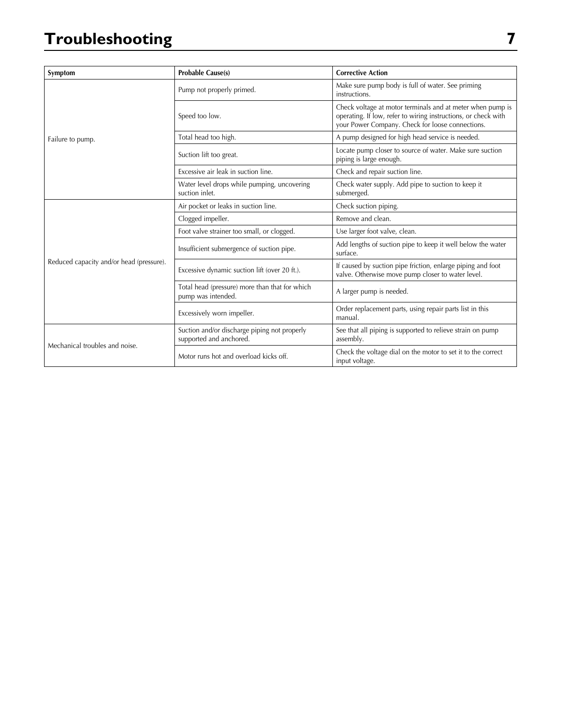# **Troubleshooting 7**

| Symptom                                  | <b>Probable Cause(s)</b>                                                | <b>Corrective Action</b>                                                                                                                                                         |
|------------------------------------------|-------------------------------------------------------------------------|----------------------------------------------------------------------------------------------------------------------------------------------------------------------------------|
| Failure to pump.                         | Pump not properly primed.                                               | Make sure pump body is full of water. See priming<br>instructions.                                                                                                               |
|                                          | Speed too low.                                                          | Check voltage at motor terminals and at meter when pump is<br>operating. If low, refer to wiring instructions, or check with<br>your Power Company. Check for loose connections. |
|                                          | Total head too high.                                                    | A pump designed for high head service is needed.                                                                                                                                 |
|                                          | Suction lift too great.                                                 | Locate pump closer to source of water. Make sure suction<br>piping is large enough.                                                                                              |
|                                          | Excessive air leak in suction line.                                     | Check and repair suction line.                                                                                                                                                   |
|                                          | Water level drops while pumping, uncovering<br>suction inlet.           | Check water supply. Add pipe to suction to keep it<br>submerged.                                                                                                                 |
| Reduced capacity and/or head (pressure). | Air pocket or leaks in suction line.                                    | Check suction piping.                                                                                                                                                            |
|                                          | Clogged impeller.                                                       | Remove and clean.                                                                                                                                                                |
|                                          | Foot valve strainer too small, or clogged.                              | Use larger foot valve, clean.                                                                                                                                                    |
|                                          | Insufficient submergence of suction pipe.                               | Add lengths of suction pipe to keep it well below the water<br>surface.                                                                                                          |
|                                          | Excessive dynamic suction lift (over 20 ft.).                           | If caused by suction pipe friction, enlarge piping and foot<br>valve. Otherwise move pump closer to water level.                                                                 |
|                                          | Total head (pressure) more than that for which<br>pump was intended.    | A larger pump is needed.                                                                                                                                                         |
|                                          | Excessively worn impeller.                                              | Order replacement parts, using repair parts list in this<br>manual.                                                                                                              |
| Mechanical troubles and noise.           | Suction and/or discharge piping not properly<br>supported and anchored. | See that all piping is supported to relieve strain on pump<br>assembly.                                                                                                          |
|                                          | Motor runs hot and overload kicks off.                                  | Check the voltage dial on the motor to set it to the correct<br>input voltage.                                                                                                   |